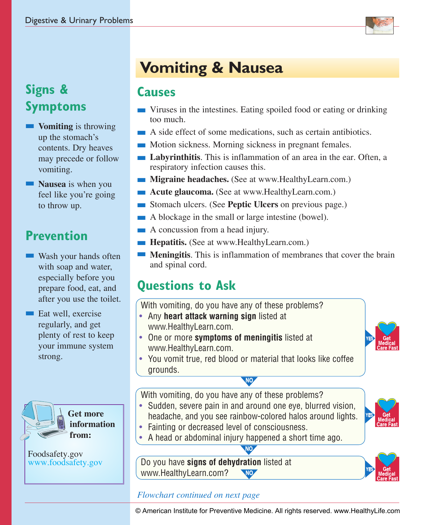

## **Signs & Symptoms**

- **Nomiting** is throwing up the stomach's contents. Dry heaves may precede or follow vomiting.
- **Nausea** is when you feel like you're going to throw up.

# **Prevention**

- $\blacksquare$  Wash your hands often with soap and water. especially before you prepare food, eat, and after you use the toilet.
- $\blacksquare$  Eat well, exercise regularly, and get plenty of rest to keep your immune system strong.



Foodsafety.gov www.foodsafety.gov

# **Vomiting & Nausea**

### **Causes**

- $\blacksquare$  Viruses in the intestines. Eating spoiled food or eating or drinking too much.
- n A side effect of some medications, such as certain antibiotics.
- **n** Motion sickness. Morning sickness in pregnant females.
- n **Labyrinthitis**. This is inflammation of an area in the ear. Often, a respiratory infection causes this.
- **n Migraine headaches.** (See at www.HealthyLearn.com.)
- **n Acute glaucoma.** (See at www.HealthyLearn.com.)
- n Stomach ulcers. (See **Peptic Ulcers** on previous page.)
- $\blacksquare$  A blockage in the small or large intestine (bowel).
- $\blacksquare$  A concussion from a head injury.
- **Hepatitis.** (See at www.HealthyLearn.com.)
- **n Meningitis**. This is inflammation of membranes that cover the brain and spinal cord.

# **Questions to Ask**

- With vomiting, do you have any of these problems?
- Any **heart attack warning sign** listed at
- www.HealthyLearn.com.
- One or more **symptoms of meningitis** listed at www.HealthyLearn.com.
- You vomit true, red blood or material that looks like coffee grounds.

With vomiting, do you have any of these problems?

- Sudden, severe pain in and around one eve, blurred vision, headache, and you see rainbow-colored halos around lights. • Fainting or decreased level of consciousness.
- 
- A head or abdominal injury happened a short time ago.

Do you have **signs of dehydration** listed at www.HealthyLearn.com? NO



### *Flowchart continued on next page*

© American Institute for Preventive Medicine. All rights reserved. www.HealthyLife.com